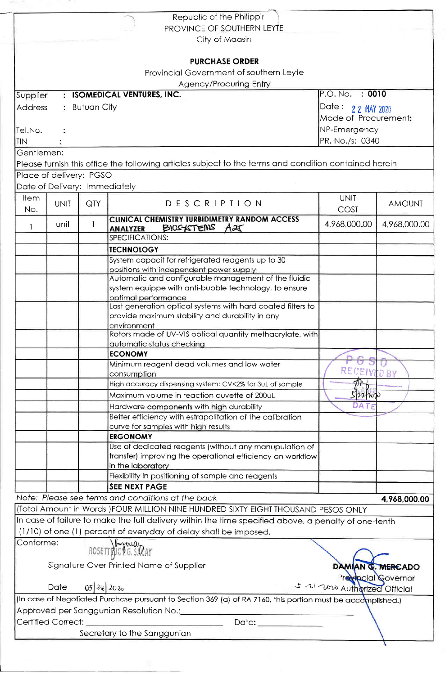|                                                                                                             |                 |                   | Republic of the Philippir                                                                                             |                      |               |  |  |  |  |
|-------------------------------------------------------------------------------------------------------------|-----------------|-------------------|-----------------------------------------------------------------------------------------------------------------------|----------------------|---------------|--|--|--|--|
| PROVINCE OF SOUTHERN LEYTE                                                                                  |                 |                   |                                                                                                                       |                      |               |  |  |  |  |
| City of Maasin                                                                                              |                 |                   |                                                                                                                       |                      |               |  |  |  |  |
|                                                                                                             |                 |                   |                                                                                                                       |                      |               |  |  |  |  |
|                                                                                                             |                 |                   | <b>PURCHASE ORDER</b>                                                                                                 |                      |               |  |  |  |  |
| Provincial Government of southern Leyte                                                                     |                 |                   |                                                                                                                       |                      |               |  |  |  |  |
|                                                                                                             |                 |                   |                                                                                                                       |                      |               |  |  |  |  |
|                                                                                                             |                 |                   | <b>Agency/Procuring Entry</b><br><b>ISOMEDICAL VENTURES, INC.</b>                                                     | P.O. No. : 0010      |               |  |  |  |  |
| Supplier                                                                                                    | $\bullet$       |                   |                                                                                                                       |                      |               |  |  |  |  |
| <b>Address</b>                                                                                              | $:$ Butuan City | Date: 22 MAY 2020 |                                                                                                                       |                      |               |  |  |  |  |
|                                                                                                             |                 |                   |                                                                                                                       | Mode of Procurement: |               |  |  |  |  |
| Tel.No.                                                                                                     |                 | NP-Emergency      |                                                                                                                       |                      |               |  |  |  |  |
| <b>TIN</b>                                                                                                  |                 |                   | PR. No./s: 0340                                                                                                       |                      |               |  |  |  |  |
| Gentlemen:                                                                                                  |                 |                   |                                                                                                                       |                      |               |  |  |  |  |
|                                                                                                             |                 |                   | Please furnish this office the following articles subject to the terms and condition contained herein                 |                      |               |  |  |  |  |
|                                                                                                             |                 |                   |                                                                                                                       |                      |               |  |  |  |  |
| Place of delivery: PGSO                                                                                     |                 |                   |                                                                                                                       |                      |               |  |  |  |  |
| Date of Delivery: Immediately                                                                               |                 |                   |                                                                                                                       |                      |               |  |  |  |  |
| Item                                                                                                        | <b>UNIT</b>     | QTY               | DESCRIPTION                                                                                                           | <b>UNIT</b>          | <b>AMOUNT</b> |  |  |  |  |
| No.                                                                                                         |                 |                   |                                                                                                                       | COST                 |               |  |  |  |  |
|                                                                                                             |                 |                   | <b>CLINICAL CHEMISTRY TURBIDIMETRY RANDOM ACCESS</b>                                                                  |                      |               |  |  |  |  |
| 1                                                                                                           | unit            |                   | BIOGETEMS A25<br><b>ANALYZER</b>                                                                                      | 4,968,000.00         | 4,968,000.00  |  |  |  |  |
|                                                                                                             |                 |                   | SPECIFICATIONS:                                                                                                       |                      |               |  |  |  |  |
|                                                                                                             |                 |                   | <b>TECHNOLOGY</b>                                                                                                     |                      |               |  |  |  |  |
|                                                                                                             |                 |                   | System capacit for refrigerated reagents up to 30                                                                     |                      |               |  |  |  |  |
|                                                                                                             |                 |                   | positions with independent power supply                                                                               |                      |               |  |  |  |  |
|                                                                                                             |                 |                   | Automatic and configurable management of the fluidic                                                                  |                      |               |  |  |  |  |
|                                                                                                             |                 |                   | system equippe with anti-bubble technology, to ensure                                                                 |                      |               |  |  |  |  |
|                                                                                                             |                 |                   | optimal performance                                                                                                   |                      |               |  |  |  |  |
|                                                                                                             |                 |                   | Last generation optical systems with hard coated filters to                                                           |                      |               |  |  |  |  |
|                                                                                                             |                 |                   | provide maximum stability and durability in any                                                                       |                      |               |  |  |  |  |
|                                                                                                             |                 |                   | environment                                                                                                           |                      |               |  |  |  |  |
|                                                                                                             |                 |                   | Rotors made of UV-VIS optical quantity methacrylate, with                                                             |                      |               |  |  |  |  |
|                                                                                                             |                 |                   | automatic status checking                                                                                             |                      |               |  |  |  |  |
|                                                                                                             |                 |                   | <b>ECONOMY</b>                                                                                                        |                      |               |  |  |  |  |
|                                                                                                             |                 |                   | Minimum reagent dead volumes and low water                                                                            |                      |               |  |  |  |  |
|                                                                                                             |                 |                   | consumption                                                                                                           | <b>RECEIVED BY</b>   |               |  |  |  |  |
|                                                                                                             |                 |                   | High accuracy dispensing system: CV<2% for 3uL of sample                                                              | 办                    |               |  |  |  |  |
|                                                                                                             |                 |                   | Maximum volume in reaction cuvette of 200uL                                                                           | 522700               |               |  |  |  |  |
|                                                                                                             |                 |                   | Hardware components with high durability                                                                              | DATE                 |               |  |  |  |  |
|                                                                                                             |                 |                   | Better efficiency with estrapolitation of the calibration                                                             |                      |               |  |  |  |  |
|                                                                                                             |                 |                   | curve for samples with high results                                                                                   |                      |               |  |  |  |  |
|                                                                                                             |                 |                   | <b>ERGONOMY</b>                                                                                                       |                      |               |  |  |  |  |
|                                                                                                             |                 |                   | Use of dedicated reagents (without any manupulation of                                                                |                      |               |  |  |  |  |
|                                                                                                             |                 |                   | transfer) improving the operational efficiency an workflow                                                            |                      |               |  |  |  |  |
|                                                                                                             |                 |                   | in the laboratory                                                                                                     |                      |               |  |  |  |  |
|                                                                                                             |                 |                   | Flexibility in positioning of sample and reagents                                                                     |                      |               |  |  |  |  |
|                                                                                                             |                 |                   | <b>SEE NEXT PAGE</b>                                                                                                  |                      |               |  |  |  |  |
|                                                                                                             |                 |                   | Note: Please see terms and conditions at the back                                                                     |                      | 4,968,000.00  |  |  |  |  |
|                                                                                                             |                 |                   | (Total Amount in Words ) FOUR MILLION NINE HUNDRED SIXTY EIGHT THOUSAND PESOS ONLY                                    |                      |               |  |  |  |  |
|                                                                                                             |                 |                   |                                                                                                                       |                      |               |  |  |  |  |
|                                                                                                             |                 |                   | In case of failure to make the full delivery within the time specified above, a penalty of one-tenth                  |                      |               |  |  |  |  |
|                                                                                                             |                 |                   | (1/10) of one (1) percent of everyday of delay shall be imposed.                                                      |                      |               |  |  |  |  |
| Conforme:                                                                                                   |                 |                   | ROSETTRIONG. SIDAY                                                                                                    |                      |               |  |  |  |  |
|                                                                                                             |                 |                   |                                                                                                                       |                      |               |  |  |  |  |
|                                                                                                             |                 |                   | Signature Over Printed Name of Supplier                                                                               | DAMIAN G. MERCADO    |               |  |  |  |  |
| Previocial Governor                                                                                         |                 |                   |                                                                                                                       |                      |               |  |  |  |  |
| 5-21-2010 Authorized Official<br>$05$ 26 2020<br>Date                                                       |                 |                   |                                                                                                                       |                      |               |  |  |  |  |
|                                                                                                             |                 |                   |                                                                                                                       |                      |               |  |  |  |  |
| (In case of Negotiated Purchase pursuant to Section 369 (a) of RA 7160, this portion must be accomplished.) |                 |                   |                                                                                                                       |                      |               |  |  |  |  |
|                                                                                                             |                 |                   |                                                                                                                       |                      |               |  |  |  |  |
| Certified Correct:                                                                                          |                 |                   | <b>RESIDENCE AND ARRANGEMENT OF A STATE OF A STATE OF A STATE OF A STATE OF A STATE OF A STATE OF A STATE OF A ST</b> |                      |               |  |  |  |  |
| Secretary to the Sanggunian                                                                                 |                 |                   |                                                                                                                       |                      |               |  |  |  |  |
|                                                                                                             |                 |                   |                                                                                                                       |                      |               |  |  |  |  |